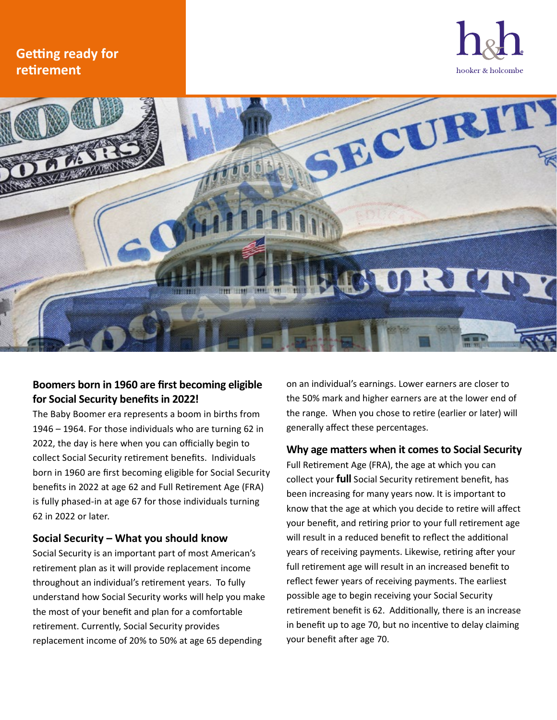# **Getting ready for retirement**





## **Boomers born in 1960 are first becoming eligible for Social Security benefits in 2022!**

The Baby Boomer era represents a boom in births from 1946 – 1964. For those individuals who are turning 62 in 2022, the day is here when you can officially begin to collect Social Security retirement benefits. Individuals born in 1960 are first becoming eligible for Social Security benefits in 2022 at age 62 and Full Retirement Age (FRA) is fully phased-in at age 67 for those individuals turning 62 in 2022 or later.

### **Social Security – What you should know**

Social Security is an important part of most American's retirement plan as it will provide replacement income throughout an individual's retirement years. To fully understand how Social Security works will help you make the most of your benefit and plan for a comfortable retirement. Currently, Social Security provides replacement income of 20% to 50% at age 65 depending

on an individual's earnings. Lower earners are closer to the 50% mark and higher earners are at the lower end of the range. When you chose to retire (earlier or later) will generally affect these percentages.

#### **Why age matters when it comes to Social Security**

Full Retirement Age (FRA), the age at which you can collect your **full** Social Security retirement benefit, has been increasing for many years now. It is important to know that the age at which you decide to retire will affect your benefit, and retiring prior to your full retirement age will result in a reduced benefit to reflect the additional years of receiving payments. Likewise, retiring after your full retirement age will result in an increased benefit to reflect fewer years of receiving payments. The earliest possible age to begin receiving your Social Security retirement benefit is 62. Additionally, there is an increase in benefit up to age 70, but no incentive to delay claiming your benefit after age 70.